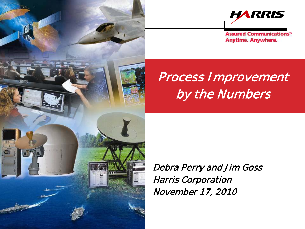



**Assured Communications<sup>®</sup> Anytime. Anywhere.** 

# Process Improvement by the Numbers

Debra Perry and Jim Goss Harris Corporation November 17, 2010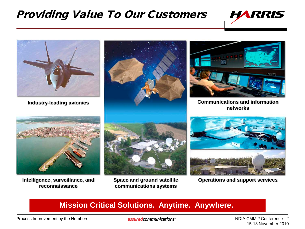#### Providing Value To Our Customers





**reconnaissance**

**Space and ground satellite communications systems**

Intelligence, surveillance, and Space and ground satellite **Operations and support services** 

#### **Mission Critical Solutions. Anytime. Anywhere.**

Process Improvement by the Numbers

assuredcommunications<sup>®</sup>

NDIA CMMI® Conference - 2 15-18 November 2010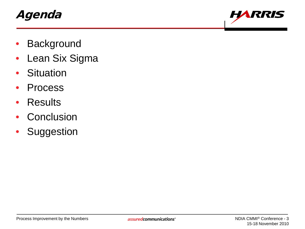### Agenda



- **Background**
- Lean Six Sigma
- Situation
- Process
- Results
- Conclusion
- Suggestion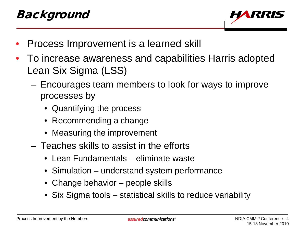

- Process Improvement is a learned skill
- To increase awareness and capabilities Harris adopted Lean Six Sigma (LSS)
	- Encourages team members to look for ways to improve processes by
		- Quantifying the process
		- Recommending a change
		- Measuring the improvement
	- Teaches skills to assist in the efforts
		- Lean Fundamentals eliminate waste
		- Simulation understand system performance
		- Change behavior people skills
		- Six Sigma tools statistical skills to reduce variability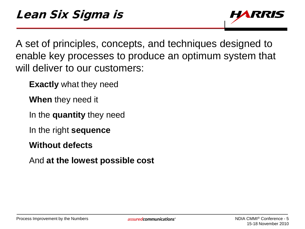

A set of principles, concepts, and techniques designed to enable key processes to produce an optimum system that will deliver to our customers:

**Exactly** what they need

**When** they need it

In the **quantity** they need

In the right **sequence**

**Without defects**

And **at the lowest possible cost**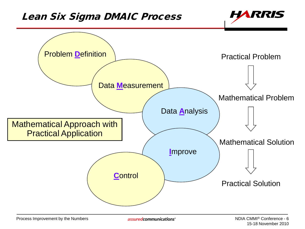#### Lean Six Sigma DMAIC Process



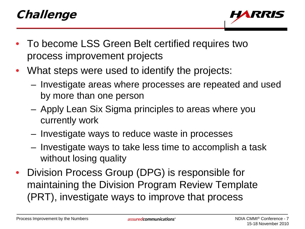## Challenge



- To become LSS Green Belt certified requires two process improvement projects
- What steps were used to identify the projects:
	- Investigate areas where processes are repeated and used by more than one person
	- Apply Lean Six Sigma principles to areas where you currently work
	- Investigate ways to reduce waste in processes
	- Investigate ways to take less time to accomplish a task without losing quality
- Division Process Group (DPG) is responsible for maintaining the Division Program Review Template (PRT), investigate ways to improve that process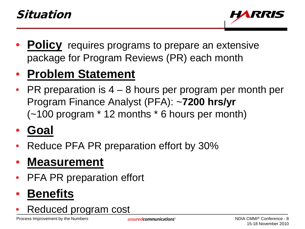

• **Policy** requires programs to prepare an extensive package for Program Reviews (PR) each month

## • **Problem Statement**

 $PR$  preparation is  $4 - 8$  hours per program per month per Program Finance Analyst (PFA): ~**7200 hrs/yr**  (~100 program \* 12 months \* 6 hours per month)

## • **Goal**

• Reduce PFA PR preparation effort by 30%

## • **Measurement**

**PFA PR preparation effort** 

# • **Benefits**

• Reduced program cost

Process Improvement by the Numbers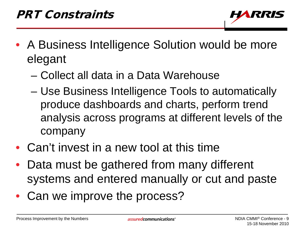

- A Business Intelligence Solution would be more elegant
	- Collect all data in a Data Warehouse
	- Use Business Intelligence Tools to automatically produce dashboards and charts, perform trend analysis across programs at different levels of the company
- Can't invest in a new tool at this time
- Data must be gathered from many different systems and entered manually or cut and paste
- Can we improve the process?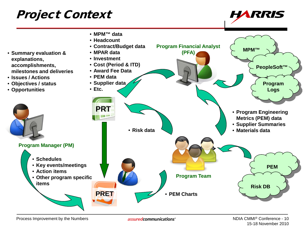### Project Context





Process Improvement by the Numbers

assuredcommunications<sup>®</sup>

NDIA CMMI® Conference - 10 15-18 November 2010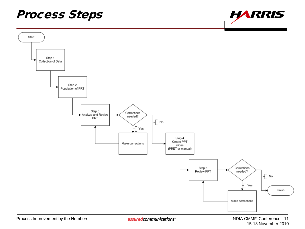### Process Steps



**HARRIS**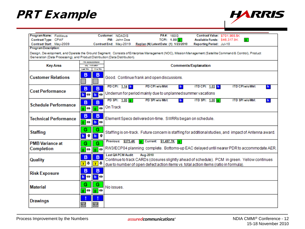## PRT Example



| Program Name: Fictitious                                                    |                                                             | Contract Value: \$701.955.5K<br>PA#: 160G<br>Customer: NOADIS                                                                                           |  |  |  |  |  |
|-----------------------------------------------------------------------------|-------------------------------------------------------------|---------------------------------------------------------------------------------------------------------------------------------------------------------|--|--|--|--|--|
| Contract Type: CPAF                                                         |                                                             | TCPI: 1.00 0<br>PM: John Doe<br>Available Funds: \$46,317.9K                                                                                            |  |  |  |  |  |
| Contract Start: May-2009                                                    |                                                             | Contract End: May-2019<br>Replan (N) LatestDate: (1) 1/23/2010<br>Reporting Period: Jul-10                                                              |  |  |  |  |  |
|                                                                             | <b>Program Description:</b>                                 |                                                                                                                                                         |  |  |  |  |  |
|                                                                             |                                                             | Design, Development, and Operate the Ground Segment. Consists of Enterprise Management (NOC), Mission Management (Satellite Command & Control), Product |  |  |  |  |  |
| Generation (Data Processing), and Product Distribution (Data Distribution). |                                                             |                                                                                                                                                         |  |  |  |  |  |
|                                                                             | PM ASSESSMENT                                               |                                                                                                                                                         |  |  |  |  |  |
| <b>Key Area</b>                                                             | obj_indicator                                               | Comments/Explanation                                                                                                                                    |  |  |  |  |  |
|                                                                             | Land Mo.<br><b>This Mo</b>                                  |                                                                                                                                                         |  |  |  |  |  |
| <b>Customer Relations</b>                                                   | в<br>в                                                      | Good. Continue frank and open discussions.                                                                                                              |  |  |  |  |  |
|                                                                             | B<br>B                                                      | PD CPI w/o Mtrl:<br><b>ITD CPI w/o Mtrl:</b><br>PD CPI: 1.14 b<br>ITD CPI: 1.03 b<br>b<br>b.                                                            |  |  |  |  |  |
| <b>Cost Performance</b>                                                     |                                                             |                                                                                                                                                         |  |  |  |  |  |
|                                                                             | $\mathbf{b} \Leftrightarrow$<br>$b \leftrightarrow$         | Underrun for period mainly due to unplanned summer vacations                                                                                            |  |  |  |  |  |
|                                                                             |                                                             | PD SPI: 1.00 g<br>PD SPI w/o Mtrl:<br>ITD SPI: $1.00$ g<br><b>ITD SPI w/o Mtrl:</b><br>ь<br>b.                                                          |  |  |  |  |  |
| <b>Schedule Performance</b>                                                 | B<br>B                                                      |                                                                                                                                                         |  |  |  |  |  |
|                                                                             | $\overline{g}$ $\Leftrightarrow$<br>$g \leftrightarrow$     | On Track                                                                                                                                                |  |  |  |  |  |
|                                                                             |                                                             |                                                                                                                                                         |  |  |  |  |  |
| <b>Technical Performance</b>                                                | B<br>в                                                      | Element Specs delivered on-time. SWRRs began on schedule.                                                                                               |  |  |  |  |  |
|                                                                             | $\boxed{g} \Leftrightarrow$<br>$\mathbf{b} \Leftrightarrow$ |                                                                                                                                                         |  |  |  |  |  |
|                                                                             |                                                             |                                                                                                                                                         |  |  |  |  |  |
|                                                                             | G<br>G                                                      |                                                                                                                                                         |  |  |  |  |  |
| <b>Staffing</b>                                                             | $b$ ff<br>$b$ $f$                                           | Staffing is on-track. Future concern is staffing for additional studies, and impact of Antenna award.                                                   |  |  |  |  |  |
|                                                                             |                                                             |                                                                                                                                                         |  |  |  |  |  |
| <b>PMB Variance at</b>                                                      | G<br>G                                                      | Previous: \$375.4K<br><b>g</b> Current: \$1,497.7K <b>g</b>                                                                                             |  |  |  |  |  |
| Completion                                                                  |                                                             | RW3/ECP04 planning complete. Bottoms-up EAC delayed until nearer PDR to accommodate AER.                                                                |  |  |  |  |  |
|                                                                             | $\overline{g}$ $\Leftrightarrow$<br>$g \leftrightarrow$     |                                                                                                                                                         |  |  |  |  |  |
|                                                                             | в<br>в                                                      | <b>Last OA PCM Audit</b><br>Aug-2010                                                                                                                    |  |  |  |  |  |
| Quality                                                                     |                                                             | Continue to track CARDs (closures slightly ahead of schedule). PCM in green. Yellow continues                                                           |  |  |  |  |  |
|                                                                             | $y$ $\theta$<br>$ y $ $\theta$                              | due to number of open defect action items vs. total action items (ratio in formula).                                                                    |  |  |  |  |  |
|                                                                             |                                                             |                                                                                                                                                         |  |  |  |  |  |
| <b>Risk Exposure</b>                                                        | в<br>B                                                      |                                                                                                                                                         |  |  |  |  |  |
|                                                                             | $b \Leftrightarrow$<br>$\mathbf{b} \leftrightarrow$         |                                                                                                                                                         |  |  |  |  |  |
|                                                                             |                                                             |                                                                                                                                                         |  |  |  |  |  |
| <b>Material</b>                                                             | G<br>G                                                      | No issues                                                                                                                                               |  |  |  |  |  |
|                                                                             | $g \leftrightarrow$<br>$\overline{g}$ $\Leftrightarrow$     |                                                                                                                                                         |  |  |  |  |  |
|                                                                             |                                                             |                                                                                                                                                         |  |  |  |  |  |
|                                                                             |                                                             |                                                                                                                                                         |  |  |  |  |  |
| <b>Drawings</b>                                                             | N/A                                                         |                                                                                                                                                         |  |  |  |  |  |
|                                                                             | N/A                                                         |                                                                                                                                                         |  |  |  |  |  |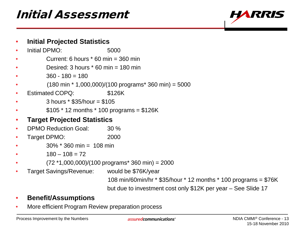### Initial Assessment



#### • **Initial Projected Statistics**

- Initial DPMO: 5000
- Current: 6 hours  $*$  60 min = 360 min
- Desired: 3 hours  $*$  60 min = 180 min
- $360 180 = 180$
- $(180 \text{ min} * 1,000,000)/(100 \text{ programs} * 360 \text{ min}) = 5000$
- Estimated COPQ: \$126K
- 3 hours \* \$35/hour = \$105
- $$105 * 12$  months  $* 100$  programs = \$126K
- **Target Projected Statistics**
- DPMO Reduction Goal: 30 %
- Target DPMO: 2000
- $30\%$  \* 360 min = 108 min
- $180 108 = 72$
- $(72 * 1,000,000)/(100$  programs\* 360 min) = 2000
- Target Savings/Revenue: would be \$76K/year

108 min/60min/hr \* \$35/hour \* 12 months \* 100 programs = \$76K but due to investment cost only \$12K per year – See Slide 17

- **Benefit/Assumptions**
- More efficient Program Review preparation process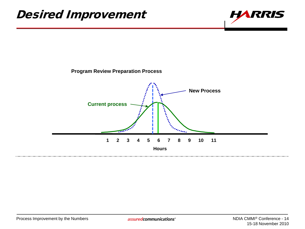#### Desired Improvement



#### **Program Review Preparation Process**

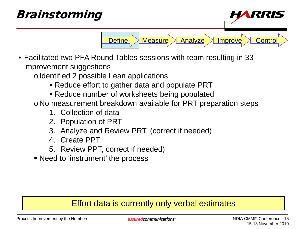### Brainstorming *RIRI* Define Measure Analyze Improve Control

• Facilitated two PFA Round Tables sessions with team resulting in 33 improvement suggestions

 $\circ$  Identified 2 possible Lean applications

- Reduce effort to gather data and populate PRT
- Reduce number of worksheets being populated

oNo measurement breakdown available for PRT preparation steps

- 1. Collection of data
- 2. Population of PRT
- 3. Analyze and Review PRT, (correct if needed)
- 4. Create PPT
- 5. Review PPT, correct if needed)
- Need to 'instrument' the process

#### Effort data is currently only verbal estimates

Process Improvement by the Numbers

assuredcommunications<sup>®</sup>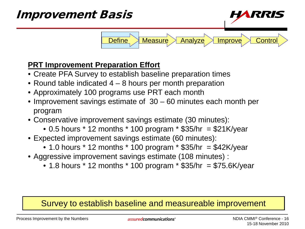

#### **PRT Improvement Preparation Effort**

- Create PFA Survey to establish baseline preparation times
- Round table indicated 4 8 hours per month preparation
- Approximately 100 programs use PRT each month
- Improvement savings estimate of 30 60 minutes each month per program
- Conservative improvement savings estimate (30 minutes):
	- 0.5 hours  $*$  12 months  $*$  100 program  $*$  \$35/hr = \$21K/year
- Expected improvement savings estimate (60 minutes):
	- 1.0 hours  $*$  12 months  $*$  100 program  $*$  \$35/hr = \$42K/year
- Aggressive improvement savings estimate (108 minutes) :
	- 1.8 hours  $*$  12 months  $*$  100 program  $*$  \$35/hr = \$75.6K/year

#### Survey to establish baseline and measureable improvement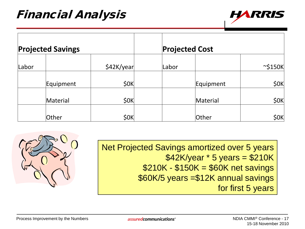

| <b>Projected Savings</b> |           |            | <b>Projected Cost</b> |           |               |
|--------------------------|-----------|------------|-----------------------|-----------|---------------|
| Labor                    |           | \$42K/year | Labor                 |           | $\sim$ \$150K |
|                          | Equipment | \$0K       |                       | Equipment | \$0K          |
|                          | Material  | \$0K       |                       | Material  | \$0K          |
|                          | Other     | \$0K       |                       | Other     | \$0K          |

Net Projected Savings amortized over 5 years  $$42K/year * 5 years = $210K$  $$210K - $150K = $60K$  net savings \$60K/5 years =\$12K annual savings for first 5 years

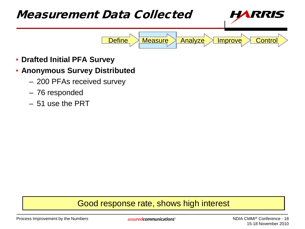

- **Drafted Initial PFA Survey**
- **Anonymous Survey Distributed** 
	- 200 PFAs received survey
	- 76 responded
	- 51 use the PRT

#### Good response rate, shows high interest

Process Improvement by the Numbers

assuredcommunications<sup>®</sup>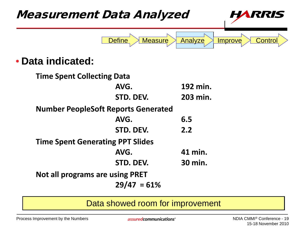

Data showed room for improvement

Process Improvement by the Numbers

assuredcommunications<sup>®</sup>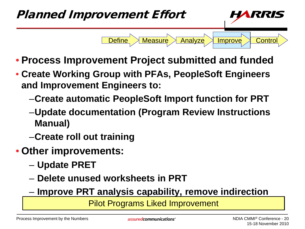

- **Process Improvement Project submitted and funded**
- **Create Working Group with PFAs, PeopleSoft Engineers and Improvement Engineers to:**
	- –**Create automatic PeopleSoft Import function for PRT**
	- –**Update documentation (Program Review Instructions Manual)**
	- –**Create roll out training**
- **Other improvements:**
	- **Update PRET**
	- **Delete unused worksheets in PRT**
	- **Improve PRT analysis capability, remove indirection**

Pilot Programs Liked Improvement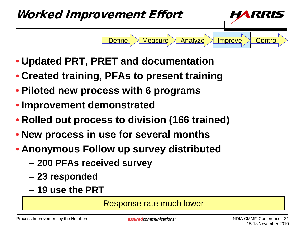

- **Updated PRT, PRET and documentation**
- **Created training, PFAs to present training**
- **Piloted new process with 6 programs**
- **Improvement demonstrated**
- **Rolled out process to division (166 trained)**
- **New process in use for several months**
- **Anonymous Follow up survey distributed**
	- **200 PFAs received survey**
	- **23 responded**
	- **19 use the PRT**

Response rate much lower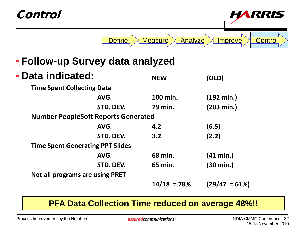| Control                                    |               |                    |                      |                           |
|--------------------------------------------|---------------|--------------------|----------------------|---------------------------|
|                                            | <b>Define</b> | Measure<br>Analyze |                      | Control<br><b>Improve</b> |
| • Follow-up Survey data analyzed           |               |                    |                      |                           |
| • Data indicated:                          |               | <b>NEW</b>         | (OLD)                |                           |
| <b>Time Spent Collecting Data</b>          |               |                    |                      |                           |
|                                            | AVG.          | 100 min.           | $(192 \text{ min.})$ |                           |
|                                            | STD. DEV.     | 79 min.            | $(203 \text{ min.})$ |                           |
| <b>Number PeopleSoft Reports Generated</b> |               |                    |                      |                           |
|                                            | AVG.          | 4.2                | (6.5)                |                           |
|                                            | STD. DEV.     | 3.2                | (2.2)                |                           |
| <b>Time Spent Generating PPT Slides</b>    |               |                    |                      |                           |
|                                            | AVG.          | 68 min.            | $(41 \text{ min.})$  |                           |
|                                            | STD. DEV.     | 65 min.            | $(30 \text{ min.})$  |                           |
| <b>Not all programs are using PRET</b>     |               |                    |                      |                           |
|                                            |               | $14/18 = 78%$      |                      | $(29/47 = 61\%)$          |

#### **PFA Data Collection Time reduced on average 48%!!**

assured communications<sup>®</sup>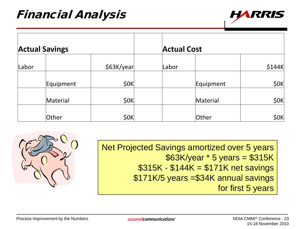

| <b>Actual Savings</b> |           |            | <b>Actual Cost</b> |           |        |
|-----------------------|-----------|------------|--------------------|-----------|--------|
| Labor                 |           | \$63K/year | Labor              |           | \$144K |
|                       | Equipment | \$0K       |                    | Equipment | \$0K   |
|                       | Material  | \$0K       |                    | Material  | \$0K   |
|                       | Other     | \$0K       |                    | Other     | \$0K   |

Net Projected Savings amortized over 5 years \$63K/year \* 5 years = \$315K \$315K - \$144K = \$171K net savings \$171K/5 years =\$34K annual savings for first 5 years

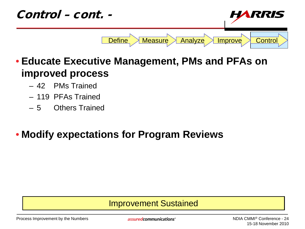

- **Educate Executive Management, PMs and PFAs on improved process**
	- 42 PMs Trained
	- 119 PFAs Trained
	- 5 Others Trained

#### • **Modify expectations for Program Reviews**

#### Improvement Sustained

Process Improvement by the Numbers

assuredcommunications<sup>®</sup>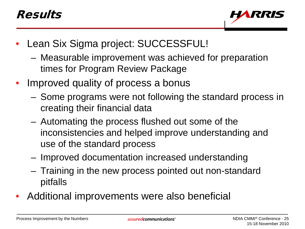### Results



- Lean Six Sigma project: SUCCESSFUL!
	- Measurable improvement was achieved for preparation times for Program Review Package
- Improved quality of process a bonus
	- Some programs were not following the standard process in creating their financial data
	- Automating the process flushed out some of the inconsistencies and helped improve understanding and use of the standard process
	- Improved documentation increased understanding
	- Training in the new process pointed out non-standard pitfalls
- Additional improvements were also beneficial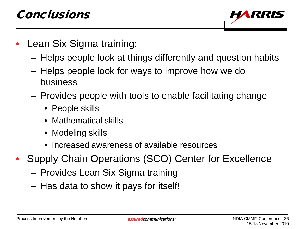

- Lean Six Sigma training:
	- Helps people look at things differently and question habits
	- Helps people look for ways to improve how we do business
	- Provides people with tools to enable facilitating change
		- People skills
		- Mathematical skills
		- Modeling skills
		- Increased awareness of available resources
- Supply Chain Operations (SCO) Center for Excellence
	- Provides Lean Six Sigma training
	- Has data to show it pays for itself!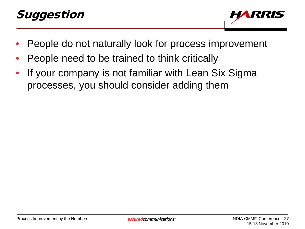## Suggestion



- People do not naturally look for process improvement
- People need to be trained to think critically
- If your company is not familiar with Lean Six Sigma processes, you should consider adding them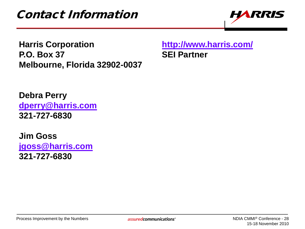

**Harris Corporation <http://www.harris.com/> P.O. Box 37 SEI Partner Melbourne, Florida 32902-0037**

**Debra Perry [dperry@harris.com](mailto:dperry@harris.com) 321-727-6830**

**Jim Goss [jgoss@harris.com](mailto:jgoss@harris.com) 321-727-6830**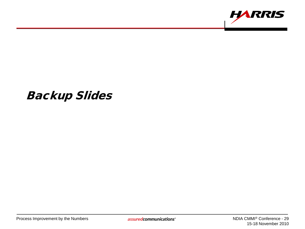

### Backup Slides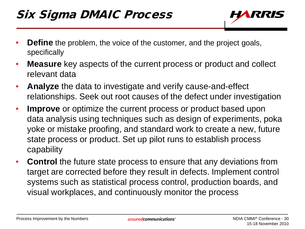## Six Sigma DMAIC Process



- **Define** the problem, the voice of the customer, and the project goals, specifically
- **Measure** key aspects of the current process or product and collect relevant data
- **Analyze** the data to investigate and verify cause-and-effect relationships. Seek out root causes of the defect under investigation
- **Improve** or optimize the current process or product based upon data analysis using techniques such as design of experiments, poka yoke or mistake proofing, and standard work to create a new, future state process or product. Set up pilot runs to establish process capability
- **Control** the future state process to ensure that any deviations from target are corrected before they result in defects. Implement control systems such as statistical process control, production boards, and visual workplaces, and continuously monitor the process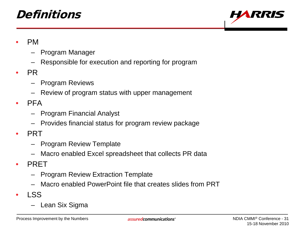### Definitions



- PM
	- Program Manager
	- Responsible for execution and reporting for program
- PR
	- Program Reviews
	- Review of program status with upper management
- PFA
	- Program Financial Analyst
	- Provides financial status for program review package
- PRT
	- Program Review Template
	- Macro enabled Excel spreadsheet that collects PR data
- PRET
	- Program Review Extraction Template
	- Macro enabled PowerPoint file that creates slides from PRT
- LSS
	- Lean Six Sigma